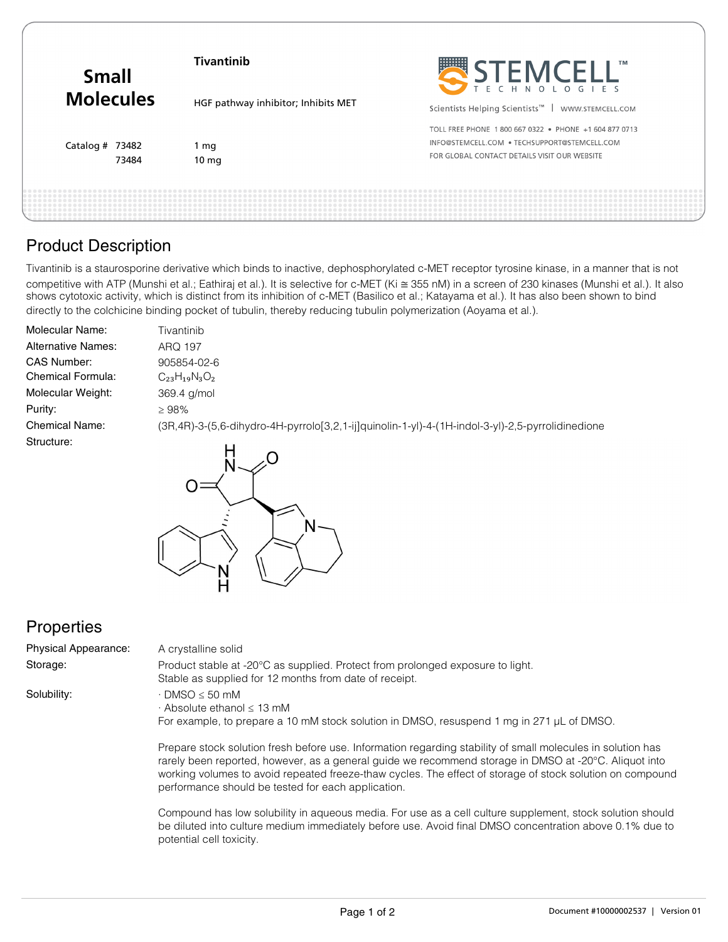| <b>Small</b><br><b>Molecules</b> | <b>Tivantinib</b>                   | SELEMCELL                                                                                                                                             |
|----------------------------------|-------------------------------------|-------------------------------------------------------------------------------------------------------------------------------------------------------|
|                                  | HGF pathway inhibitor; Inhibits MET | Scientists Helping Scientists <sup>™</sup>  <br>WWW.STEMCELL.COM                                                                                      |
| Catalog $#$ 73482<br>73484       | 1 mg<br>10 <sub>mg</sub>            | TOLL FREE PHONE 1800 667 0322 . PHONE +1 604 877 0713<br>INFO@STEMCELL.COM . TECHSUPPORT@STEMCELL.COM<br>FOR GLOBAL CONTACT DETAILS VISIT OUR WEBSITE |
|                                  |                                     |                                                                                                                                                       |

## Product Description

Tivantinib is a staurosporine derivative which binds to inactive, dephosphorylated c-MET receptor tyrosine kinase, in a manner that is not competitive with ATP (Munshi et al.; Eathiraj et al.). It is selective for c-MET (Ki ≅ 355 nM) in a screen of 230 kinases (Munshi et al.). It also shows cytotoxic activity, which is distinct from its inhibition of c-MET (Basilico et al.; Katayama et al.). It has also been shown to bind directly to the colchicine binding pocket of tubulin, thereby reducing tubulin polymerization (Aoyama et al.).

| Molecular Name:           | Tivantinib                                                                                               |
|---------------------------|----------------------------------------------------------------------------------------------------------|
| <b>Alternative Names:</b> | ARQ 197                                                                                                  |
| CAS Number:               | 905854-02-6                                                                                              |
| Chemical Formula:         | $C_{23}H_{19}N_3O_2$                                                                                     |
| Molecular Weight:         | 369.4 g/mol                                                                                              |
| Purity:                   | $\geq 98\%$                                                                                              |
| <b>Chemical Name:</b>     | (3R, 4R)-3-(5, 6-dihydro-4H-pyrrolo [3, 2, 1-ij ] quinolin-1-yl)-4-(1H-indol-3-yl)-2, 5-pyrrolidinedione |
| Structure:                |                                                                                                          |
|                           |                                                                                                          |



## **Properties**

| <b>Physical Appearance:</b> | A crystalline solid                                                                                                                                                                                                                      |
|-----------------------------|------------------------------------------------------------------------------------------------------------------------------------------------------------------------------------------------------------------------------------------|
| Storage:                    | Product stable at -20°C as supplied. Protect from prolonged exposure to light.<br>Stable as supplied for 12 months from date of receipt.                                                                                                 |
| Solubility:                 | $\cdot$ DMSO $\leq$ 50 mM<br>$\cdot$ Absolute ethanol $\leq$ 13 mM<br>For example, to prepare a 10 mM stock solution in DMSO, resuspend 1 mg in 271 µL of DMSO.                                                                          |
|                             | Prepare stock solution fresh before use. Information regarding stability of small molecules in solution has<br>$\mu$ and the contract of the second second second second second second second stress in DMCO at $0.000$ . Alian stimular |

rarely been reported, however, as a general guide we recommend storage in DMSO at -20°C. Aliquot into working volumes to avoid repeated freeze-thaw cycles. The effect of storage of stock solution on compound performance should be tested for each application.

Compound has low solubility in aqueous media. For use as a cell culture supplement, stock solution should be diluted into culture medium immediately before use. Avoid final DMSO concentration above 0.1% due to potential cell toxicity.